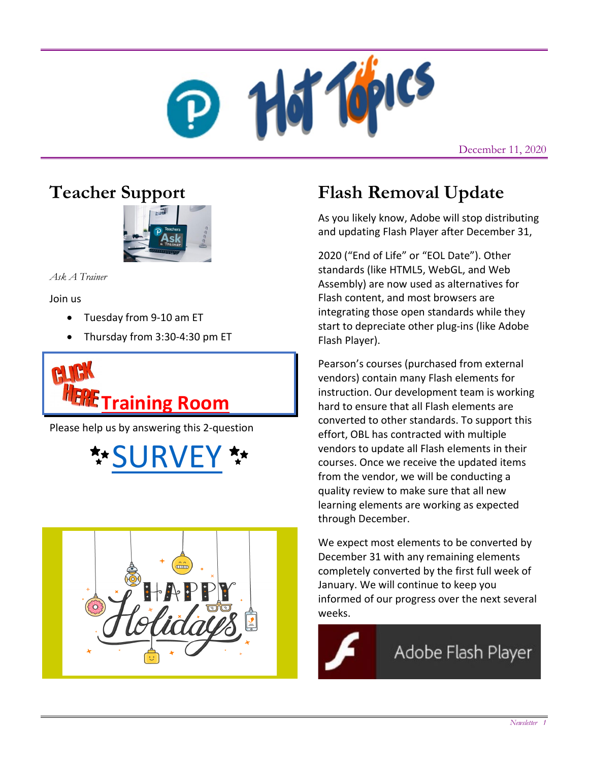

December 11, 2020

# **Teacher Support**



*Ask A Trainer*

Join us

- Tuesday from 9-10 am ET
- Thursday from 3:30-4:30 pm ET



Please help us by answering this 2-question





# **Flash Removal Update**

As you likely know, Adobe will stop distributing and updating Flash Player after December 31,

2020 ("End of Life" or "EOL Date"). Other standards (like HTML5, WebGL, and Web Assembly) are now used as alternatives for Flash content, and most browsers are integrating those open standards while they start to depreciate other plug-ins (like Adobe Flash Player).

Pearson's courses (purchased from external vendors) contain many Flash elements for instruction. Our development team is working hard to ensure that all Flash elements are converted to other standards. To support this effort, OBL has contracted with multiple vendors to update all Flash elements in their courses. Once we receive the updated items from the vendor, we will be conducting a quality review to make sure that all new learning elements are working as expected through December.

We expect most elements to be converted by December 31 with any remaining elements completely converted by the first full week of January. We will continue to keep you informed of our progress over the next several weeks.

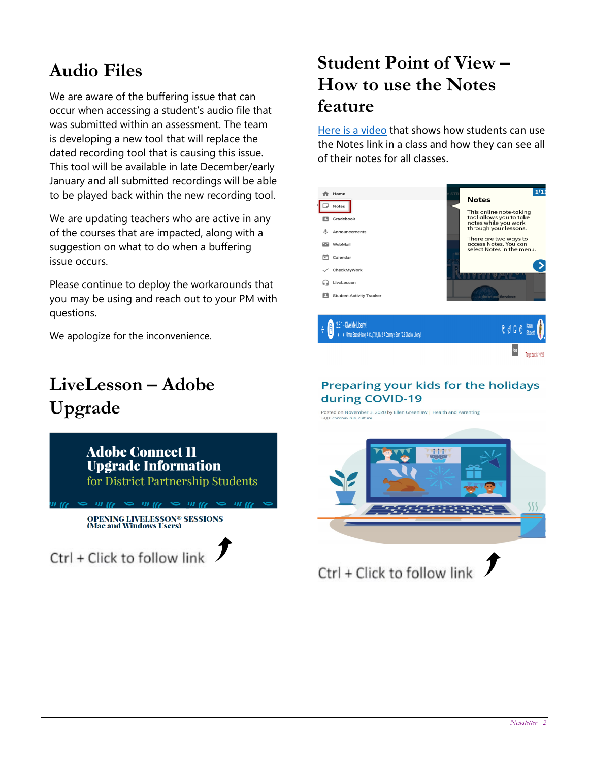# **Audio Files**

We are aware of the buffering issue that can occur when accessing a student's audio file that was submitted within an assessment. The team is developing a new tool that will replace the dated recording tool that is causing this issue. This tool will be available in late December/early January and all submitted recordings will be able to be played back within the new recording tool.

We are updating teachers who are active in any of the courses that are impacted, along with a suggestion on what to do when a buffering issue occurs.

Please continue to deploy the workarounds that you may be using and reach out to your PM with questions.

We apologize for the inconvenience.

# **LiveLesson – Adobe Upgrade**



## **Student Point of View – How to use the Notes feature**

[Here is a video](https://www.loom.com/share/d931013d0df04855b36039b4d5c5c9e8) that shows how students can use the Notes link in a class and how they can see all of their notes for all classes.



#### Preparing your kids for the holidays during COVID-19

Posted on November 3, 2020 by Ellen Greenlaw | Health and Parenting<br>Tags: coronavirus, culture



Ctrl + Click to follow link  $\int$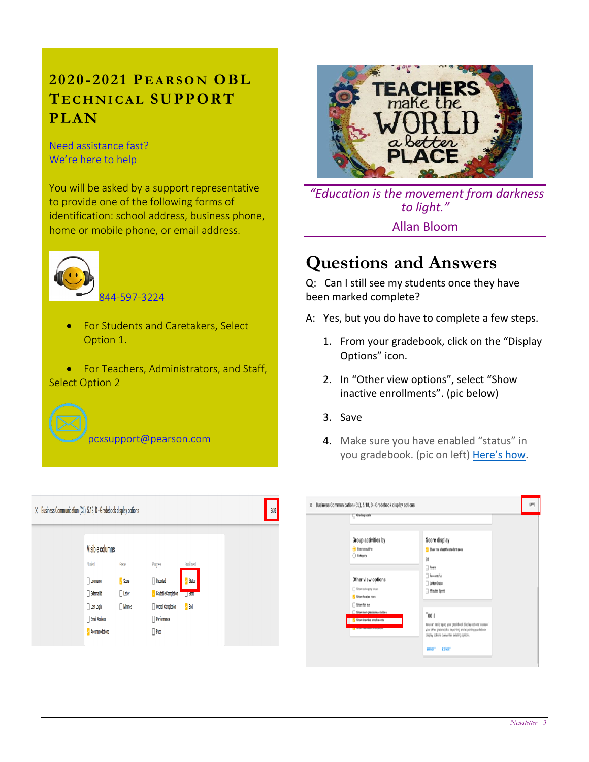## **2020 - 2021 P EARSON OBL T ECHNICAL SUPPORT PLAN**

Need assistance fast? We're here to help

You will be asked by a support representative to provide one of the following forms of identification: school address, business phone, home or mobile phone, or email address.



• For Students and Caretakers, Select Option 1.

• For Teachers, Administrators, and Staff, Select Option 2

pcxsupport@pearson.com



*"Education is the movement from darkness to light."* Allan Bloom

# **Questions and Answers**

Q: Can I still see my students once they have been marked complete?

- A: Yes, but you do have to complete a few steps.
	- 1. From your gradebook, click on the "Display Options" icon.
	- 2. In "Other view options", select "Show inactive enrollments". (pic below)
	- 3. Save
	- 4. Make sure you have enabled "status" in you gradebook. (pic on left) [Here's how.](https://www.loom.com/share/98c1a9b810b443619be49140c1571a88)

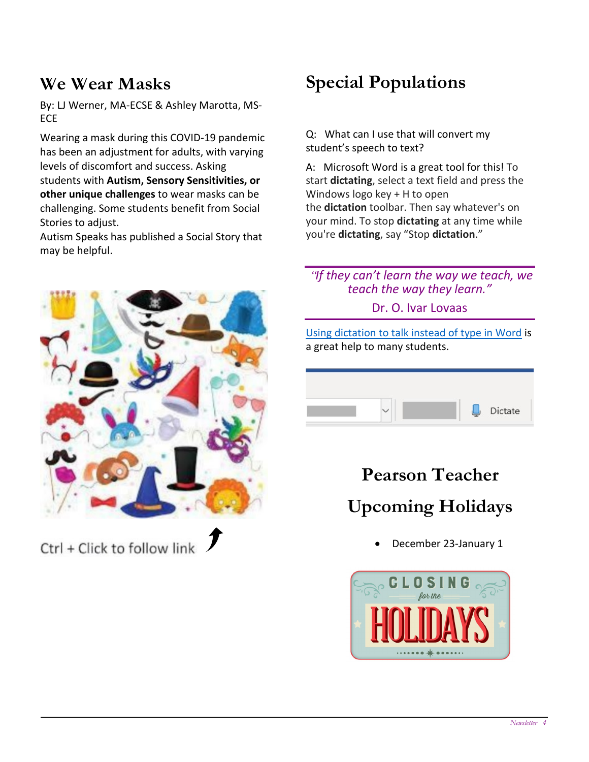#### **We Wear Masks**

By: LJ Werner, MA-ECSE & Ashley Marotta, MS-**FCF** 

Wearing a mask during this COVID-19 pandemic has been an adjustment for adults, with varying levels of discomfort and success. Asking students with **Autism, Sensory Sensitivities, or other unique challenges** to wear masks can be challenging. Some students benefit from Social Stories to adjust.

Autism Speaks has published a Social Story that may be helpful.



Ctrl + Click to follow link

# **Special Populations**

Q: What can I use that will convert my student's speech to text?

A: Microsoft Word is a great tool for this! To start **dictating**, select a text field and press the Windows logo key + H to open the **dictation** toolbar. Then say whatever's on your mind. To stop **dictating** at any time while you're **dictating**, say "Stop **dictation**."

#### *"If they can't learn the way we teach, we teach the way they learn."*

Dr. O. Ivar Lovaas

[Using dictation to talk instead of type in Word](https://support.microsoft.com/en-us/office/dictate-your-documents-in-word-3876e05f-3fcc-418f-b8ab-db7ce0d11d3c) is a great help to many students.



# **Pearson Teacher Upcoming Holidays**

• December 23-January 1